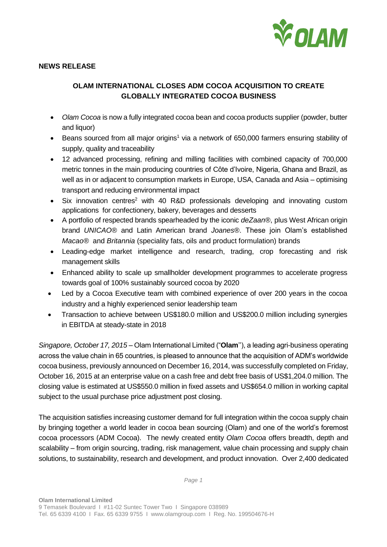

## **NEWS RELEASE**

# **OLAM INTERNATIONAL CLOSES ADM COCOA ACQUISITION TO CREATE GLOBALLY INTEGRATED COCOA BUSINESS**

- *Olam Cocoa* is now a fully integrated cocoa bean and cocoa products supplier (powder, butter and liquor)
- Beans sourced from all major origins<sup>1</sup> via a network of 650,000 farmers ensuring stability of supply, quality and traceability
- 12 advanced processing, refining and milling facilities with combined capacity of 700,000 metric tonnes in the main producing countries of Côte d'Ivoire, Nigeria, Ghana and Brazil, as well as in or adjacent to consumption markets in Europe, USA, Canada and Asia – optimising transport and reducing environmental impact
- Six innovation centres<sup>2</sup> with 40 R&D professionals developing and innovating custom applications for confectionery, bakery, beverages and desserts
- A portfolio of respected brands spearheaded by the iconic *deZaan®*, plus West African origin brand *UNICAO®* and Latin American brand *Joanes®*. These join Olam's established *Macao®* and *Britannia* (speciality fats, oils and product formulation) brands
- Leading-edge market intelligence and research, trading, crop forecasting and risk management skills
- Enhanced ability to scale up smallholder development programmes to accelerate progress towards goal of 100% sustainably sourced cocoa by 2020
- Led by a Cocoa Executive team with combined experience of over 200 years in the cocoa industry and a highly experienced senior leadership team
- Transaction to achieve between US\$180.0 million and US\$200.0 million including synergies in EBITDA at steady-state in 2018

*Singapore, October 17, 2015* – Olam International Limited ("**Olam**''), a leading agri-business operating across the value chain in 65 countries, is pleased to announce that the acquisition of ADM's worldwide cocoa business, previously announced on December 16, 2014, was successfully completed on Friday, October 16, 2015 at an enterprise value on a cash free and debt free basis of US\$1,204.0 million. The closing value is estimated at US\$550.0 million in fixed assets and US\$654.0 million in working capital subject to the usual purchase price adjustment post closing.

The acquisition satisfies increasing customer demand for full integration within the cocoa supply chain by bringing together a world leader in cocoa bean sourcing (Olam) and one of the world's foremost cocoa processors (ADM Cocoa). The newly created entity *Olam Cocoa* offers breadth, depth and scalability – from origin sourcing, trading, risk management, value chain processing and supply chain solutions, to sustainability, research and development, and product innovation. Over 2,400 dedicated

*Page 1*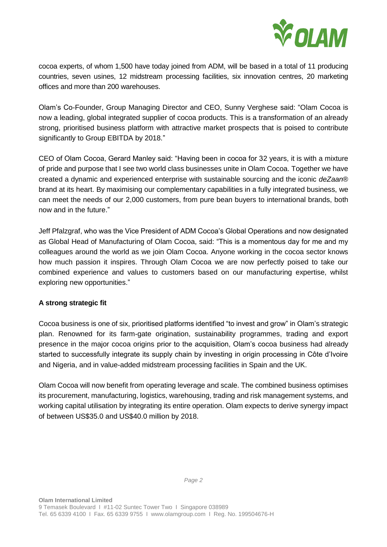

cocoa experts, of whom 1,500 have today joined from ADM, will be based in a total of 11 producing countries, seven usines, 12 midstream processing facilities, six innovation centres, 20 marketing offices and more than 200 warehouses.

Olam's Co-Founder, Group Managing Director and CEO, Sunny Verghese said: "Olam Cocoa is now a leading, global integrated supplier of cocoa products. This is a transformation of an already strong, prioritised business platform with attractive market prospects that is poised to contribute significantly to Group EBITDA by 2018."

CEO of Olam Cocoa, Gerard Manley said: "Having been in cocoa for 32 years, it is with a mixture of pride and purpose that I see two world class businesses unite in Olam Cocoa. Together we have created a dynamic and experienced enterprise with sustainable sourcing and the iconic *deZaan*® brand at its heart. By maximising our complementary capabilities in a fully integrated business, we can meet the needs of our 2,000 customers, from pure bean buyers to international brands, both now and in the future."

Jeff Pfalzgraf, who was the Vice President of ADM Cocoa's Global Operations and now designated as Global Head of Manufacturing of Olam Cocoa, said: "This is a momentous day for me and my colleagues around the world as we join Olam Cocoa. Anyone working in the cocoa sector knows how much passion it inspires. Through Olam Cocoa we are now perfectly poised to take our combined experience and values to customers based on our manufacturing expertise, whilst exploring new opportunities."

# **A strong strategic fit**

Cocoa business is one of six, prioritised platforms identified "to invest and grow" in Olam's strategic plan. Renowned for its farm-gate origination, sustainability programmes, trading and export presence in the major cocoa origins prior to the acquisition, Olam's cocoa business had already started to successfully integrate its supply chain by investing in origin processing in Côte d'Ivoire and Nigeria, and in value-added midstream processing facilities in Spain and the UK.

Olam Cocoa will now benefit from operating leverage and scale. The combined business optimises its procurement, manufacturing, logistics, warehousing, trading and risk management systems, and working capital utilisation by integrating its entire operation. Olam expects to derive synergy impact of between US\$35.0 and US\$40.0 million by 2018.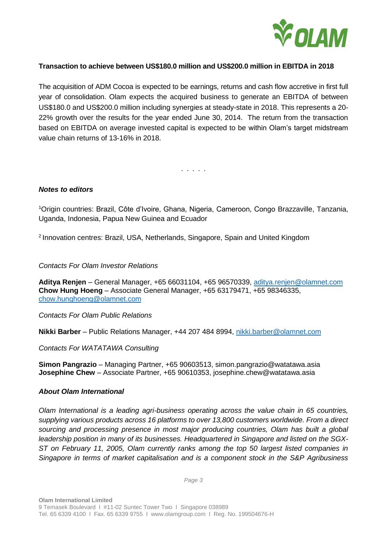

# **Transaction to achieve between US\$180.0 million and US\$200.0 million in EBITDA in 2018**

The acquisition of ADM Cocoa is expected to be earnings, returns and cash flow accretive in first full year of consolidation. Olam expects the acquired business to generate an EBITDA of between US\$180.0 and US\$200.0 million including synergies at steady-state in 2018. This represents a 20- 22% growth over the results for the year ended June 30, 2014. The return from the transaction based on EBITDA on average invested capital is expected to be within Olam's target midstream value chain returns of 13-16% in 2018.

. . . . .

#### *Notes to editors*

<sup>1</sup>Origin countries: Brazil, Côte d'Ivoire, Ghana, Nigeria, Cameroon, Congo Brazzaville, Tanzania, Uganda, Indonesia, Papua New Guinea and Ecuador

<sup>2</sup> Innovation centres: Brazil, USA, Netherlands, Singapore, Spain and United Kingdom

## *Contacts For Olam Investor Relations*

**Aditya Renjen** – General Manager, +65 66031104, +65 96570339, [aditya.renjen@olamnet.com](mailto:aditya.renjen@olamnet.com) **Chow Hung Hoeng** – Associate General Manager, +65 63179471, +65 98346335, [chow.hunghoeng@olamnet.com](mailto:chow.hunghoeng@olamnet.com)

*Contacts For Olam Public Relations*

**Nikki Barber** – Public Relations Manager, +44 207 484 8994, [nikki.barber@olamnet.com](mailto:nikki.barber@olamnet.com)

*Contacts For WATATAWA Consulting*

**Simon Pangrazio** – Managing Partner, +65 90603513, simon.pangrazio@watatawa.asia **Josephine Chew** – Associate Partner, +65 90610353, josephine.chew@watatawa.asia

#### *About Olam International*

*Olam International is a leading agri-business operating across the value chain in 65 countries, supplying various products across 16 platforms to over 13,800 customers worldwide. From a direct sourcing and processing presence in most major producing countries, Olam has built a global leadership position in many of its businesses. Headquartered in Singapore and listed on the SGX-ST on February 11, 2005, Olam currently ranks among the top 50 largest listed companies in Singapore in terms of market capitalisation and is a component stock in the S&P Agribusiness* 

*Page 3*